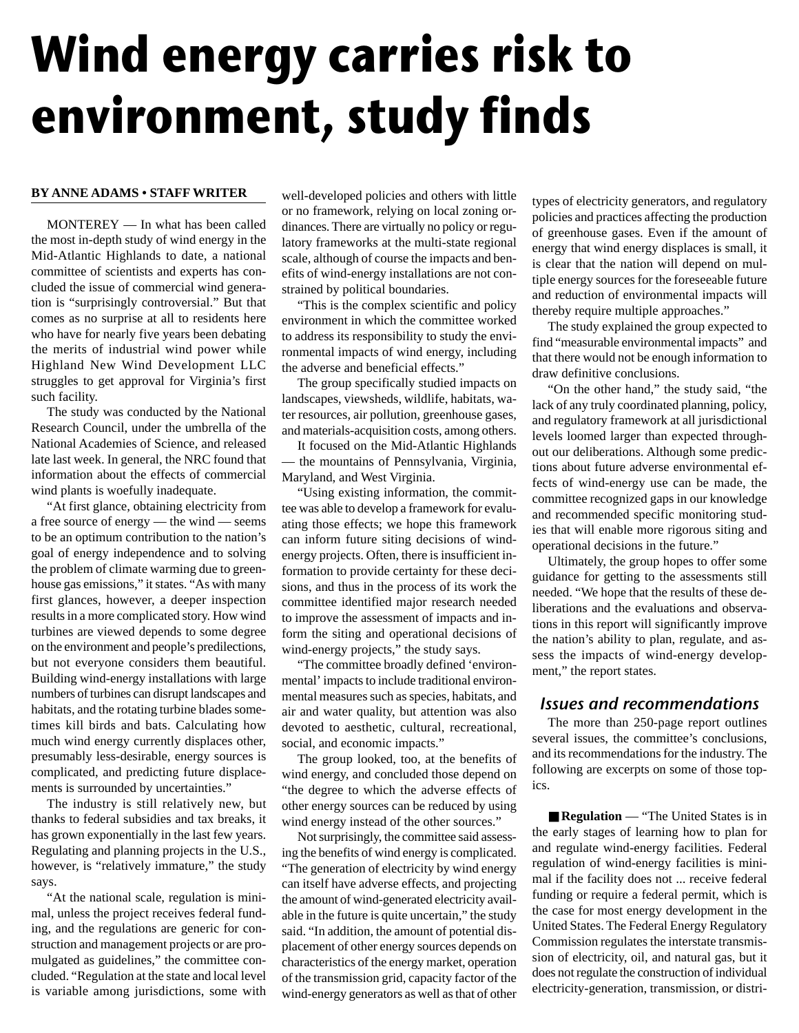## **Wind energy carries risk to environment, study finds**

## **BY ANNE ADAMS • STAFF WRITER**

MONTEREY — In what has been called the most in-depth study of wind energy in the Mid-Atlantic Highlands to date, a national committee of scientists and experts has concluded the issue of commercial wind generation is "surprisingly controversial." But that comes as no surprise at all to residents here who have for nearly five years been debating the merits of industrial wind power while Highland New Wind Development LLC struggles to get approval for Virginia's first such facility.

The study was conducted by the National Research Council, under the umbrella of the National Academies of Science, and released late last week. In general, the NRC found that information about the effects of commercial wind plants is woefully inadequate.

"At first glance, obtaining electricity from a free source of energy — the wind — seems to be an optimum contribution to the nation's goal of energy independence and to solving the problem of climate warming due to greenhouse gas emissions," it states. "As with many first glances, however, a deeper inspection results in a more complicated story. How wind turbines are viewed depends to some degree on the environment and people's predilections, but not everyone considers them beautiful. Building wind-energy installations with large numbers of turbines can disrupt landscapes and habitats, and the rotating turbine blades sometimes kill birds and bats. Calculating how much wind energy currently displaces other, presumably less-desirable, energy sources is complicated, and predicting future displacements is surrounded by uncertainties."

The industry is still relatively new, but thanks to federal subsidies and tax breaks, it has grown exponentially in the last few years. Regulating and planning projects in the U.S., however, is "relatively immature," the study says.

"At the national scale, regulation is minimal, unless the project receives federal funding, and the regulations are generic for construction and management projects or are promulgated as guidelines," the committee concluded. "Regulation at the state and local level is variable among jurisdictions, some with

well-developed policies and others with little or no framework, relying on local zoning ordinances. There are virtually no policy or regulatory frameworks at the multi-state regional scale, although of course the impacts and benefits of wind-energy installations are not constrained by political boundaries.

"This is the complex scientific and policy environment in which the committee worked to address its responsibility to study the environmental impacts of wind energy, including the adverse and beneficial effects."

The group specifically studied impacts on landscapes, viewsheds, wildlife, habitats, water resources, air pollution, greenhouse gases, and materials-acquisition costs, among others.

It focused on the Mid-Atlantic Highlands — the mountains of Pennsylvania, Virginia, Maryland, and West Virginia.

"Using existing information, the committee was able to develop a framework for evaluating those effects; we hope this framework can inform future siting decisions of windenergy projects. Often, there is insufficient information to provide certainty for these decisions, and thus in the process of its work the committee identified major research needed to improve the assessment of impacts and inform the siting and operational decisions of wind-energy projects," the study says.

"The committee broadly defined 'environmental' impacts to include traditional environmental measures such as species, habitats, and air and water quality, but attention was also devoted to aesthetic, cultural, recreational, social, and economic impacts."

The group looked, too, at the benefits of wind energy, and concluded those depend on "the degree to which the adverse effects of other energy sources can be reduced by using wind energy instead of the other sources."

Not surprisingly, the committee said assessing the benefits of wind energy is complicated. "The generation of electricity by wind energy can itself have adverse effects, and projecting the amount of wind-generated electricity available in the future is quite uncertain," the study said. "In addition, the amount of potential displacement of other energy sources depends on characteristics of the energy market, operation of the transmission grid, capacity factor of the wind-energy generators as well as that of other

types of electricity generators, and regulatory policies and practices affecting the production of greenhouse gases. Even if the amount of energy that wind energy displaces is small, it is clear that the nation will depend on multiple energy sources for the foreseeable future and reduction of environmental impacts will thereby require multiple approaches."

The study explained the group expected to find "measurable environmental impacts" and that there would not be enough information to draw definitive conclusions.

"On the other hand," the study said, "the lack of any truly coordinated planning, policy, and regulatory framework at all jurisdictional levels loomed larger than expected throughout our deliberations. Although some predictions about future adverse environmental effects of wind-energy use can be made, the committee recognized gaps in our knowledge and recommended specific monitoring studies that will enable more rigorous siting and operational decisions in the future."

Ultimately, the group hopes to offer some guidance for getting to the assessments still needed. "We hope that the results of these deliberations and the evaluations and observations in this report will significantly improve the nation's ability to plan, regulate, and assess the impacts of wind-energy development," the report states.

## Issues and recommendations

The more than 250-page report outlines several issues, the committee's conclusions, and its recommendations for the industry. The following are excerpts on some of those topics.

■ **Regulation** — "The United States is in the early stages of learning how to plan for and regulate wind-energy facilities. Federal regulation of wind-energy facilities is minimal if the facility does not ... receive federal funding or require a federal permit, which is the case for most energy development in the United States. The Federal Energy Regulatory Commission regulates the interstate transmission of electricity, oil, and natural gas, but it does not regulate the construction of individual electricity-generation, transmission, or distri-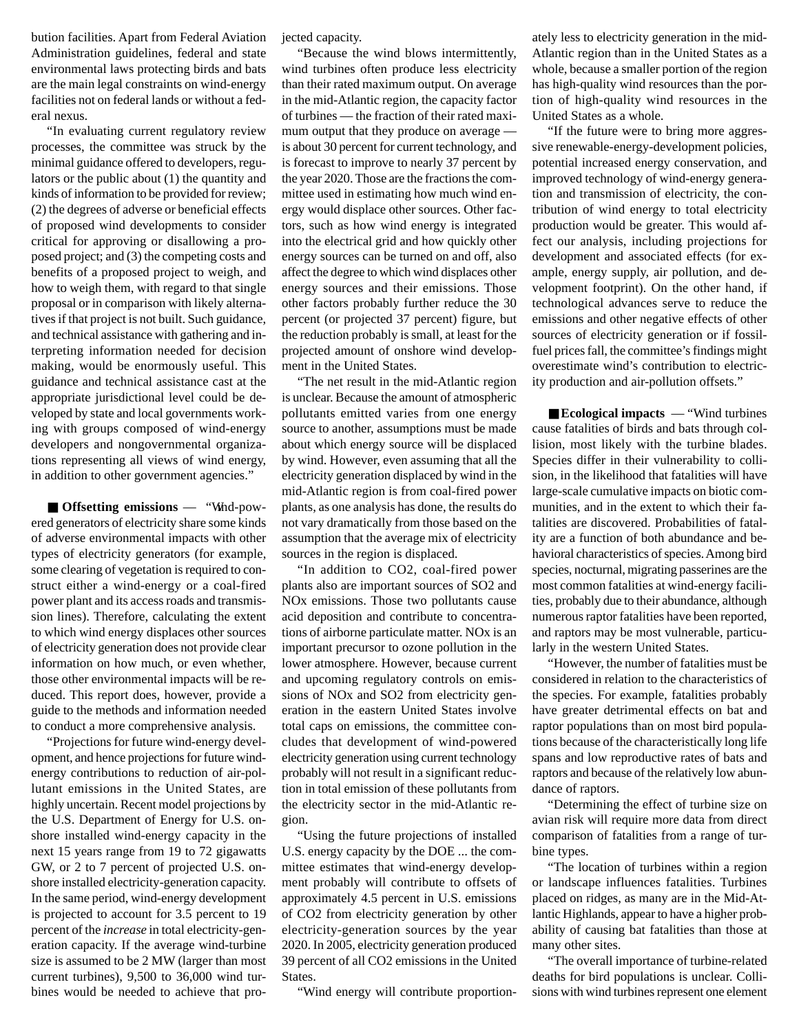bution facilities. Apart from Federal Aviation Administration guidelines, federal and state environmental laws protecting birds and bats are the main legal constraints on wind-energy facilities not on federal lands or without a federal nexus.

"In evaluating current regulatory review processes, the committee was struck by the minimal guidance offered to developers, regulators or the public about (1) the quantity and kinds of information to be provided for review; (2) the degrees of adverse or beneficial effects of proposed wind developments to consider critical for approving or disallowing a proposed project; and (3) the competing costs and benefits of a proposed project to weigh, and how to weigh them, with regard to that single proposal or in comparison with likely alternatives if that project is not built. Such guidance, and technical assistance with gathering and interpreting information needed for decision making, would be enormously useful. This guidance and technical assistance cast at the appropriate jurisdictional level could be developed by state and local governments working with groups composed of wind-energy developers and nongovernmental organizations representing all views of wind energy, in addition to other government agencies."

■ **Offsetting emissions** — "Whd-powered generators of electricity share some kinds of adverse environmental impacts with other types of electricity generators (for example, some clearing of vegetation is required to construct either a wind-energy or a coal-fired power plant and its access roads and transmission lines). Therefore, calculating the extent to which wind energy displaces other sources of electricity generation does not provide clear information on how much, or even whether, those other environmental impacts will be reduced. This report does, however, provide a guide to the methods and information needed to conduct a more comprehensive analysis.

"Projections for future wind-energy development, and hence projections for future windenergy contributions to reduction of air-pollutant emissions in the United States, are highly uncertain. Recent model projections by the U.S. Department of Energy for U.S. onshore installed wind-energy capacity in the next 15 years range from 19 to 72 gigawatts GW, or 2 to 7 percent of projected U.S. onshore installed electricity-generation capacity. In the same period, wind-energy development is projected to account for 3.5 percent to 19 percent of the *increase* in total electricity-generation capacity. If the average wind-turbine size is assumed to be 2 MW (larger than most current turbines), 9,500 to 36,000 wind turbines would be needed to achieve that projected capacity.

"Because the wind blows intermittently, wind turbines often produce less electricity than their rated maximum output. On average in the mid-Atlantic region, the capacity factor of turbines — the fraction of their rated maximum output that they produce on average is about 30 percent for current technology, and is forecast to improve to nearly 37 percent by the year 2020. Those are the fractions the committee used in estimating how much wind energy would displace other sources. Other factors, such as how wind energy is integrated into the electrical grid and how quickly other energy sources can be turned on and off, also affect the degree to which wind displaces other energy sources and their emissions. Those other factors probably further reduce the 30 percent (or projected 37 percent) figure, but the reduction probably is small, at least for the projected amount of onshore wind development in the United States.

"The net result in the mid-Atlantic region is unclear. Because the amount of atmospheric pollutants emitted varies from one energy source to another, assumptions must be made about which energy source will be displaced by wind. However, even assuming that all the electricity generation displaced by wind in the mid-Atlantic region is from coal-fired power plants, as one analysis has done, the results do not vary dramatically from those based on the assumption that the average mix of electricity sources in the region is displaced.

"In addition to CO2, coal-fired power plants also are important sources of SO2 and NOx emissions. Those two pollutants cause acid deposition and contribute to concentrations of airborne particulate matter. NOx is an important precursor to ozone pollution in the lower atmosphere. However, because current and upcoming regulatory controls on emissions of NOx and SO2 from electricity generation in the eastern United States involve total caps on emissions, the committee concludes that development of wind-powered electricity generation using current technology probably will not result in a significant reduction in total emission of these pollutants from the electricity sector in the mid-Atlantic region.

"Using the future projections of installed U.S. energy capacity by the DOE ... the committee estimates that wind-energy development probably will contribute to offsets of approximately 4.5 percent in U.S. emissions of CO2 from electricity generation by other electricity-generation sources by the year 2020. In 2005, electricity generation produced 39 percent of all CO2 emissions in the United States.

"Wind energy will contribute proportion-

ately less to electricity generation in the mid-Atlantic region than in the United States as a whole, because a smaller portion of the region has high-quality wind resources than the portion of high-quality wind resources in the United States as a whole.

"If the future were to bring more aggressive renewable-energy-development policies, potential increased energy conservation, and improved technology of wind-energy generation and transmission of electricity, the contribution of wind energy to total electricity production would be greater. This would affect our analysis, including projections for development and associated effects (for example, energy supply, air pollution, and development footprint). On the other hand, if technological advances serve to reduce the emissions and other negative effects of other sources of electricity generation or if fossilfuel prices fall, the committee's findings might overestimate wind's contribution to electricity production and air-pollution offsets."

■ **Ecological impacts** — "Wind turbines" cause fatalities of birds and bats through collision, most likely with the turbine blades. Species differ in their vulnerability to collision, in the likelihood that fatalities will have large-scale cumulative impacts on biotic communities, and in the extent to which their fatalities are discovered. Probabilities of fatality are a function of both abundance and behavioral characteristics of species. Among bird species, nocturnal, migrating passerines are the most common fatalities at wind-energy facilities, probably due to their abundance, although numerous raptor fatalities have been reported, and raptors may be most vulnerable, particularly in the western United States.

"However, the number of fatalities must be considered in relation to the characteristics of the species. For example, fatalities probably have greater detrimental effects on bat and raptor populations than on most bird populations because of the characteristically long life spans and low reproductive rates of bats and raptors and because of the relatively low abundance of raptors.

"Determining the effect of turbine size on avian risk will require more data from direct comparison of fatalities from a range of turbine types.

"The location of turbines within a region or landscape influences fatalities. Turbines placed on ridges, as many are in the Mid-Atlantic Highlands, appear to have a higher probability of causing bat fatalities than those at many other sites.

"The overall importance of turbine-related deaths for bird populations is unclear. Collisions with wind turbines represent one element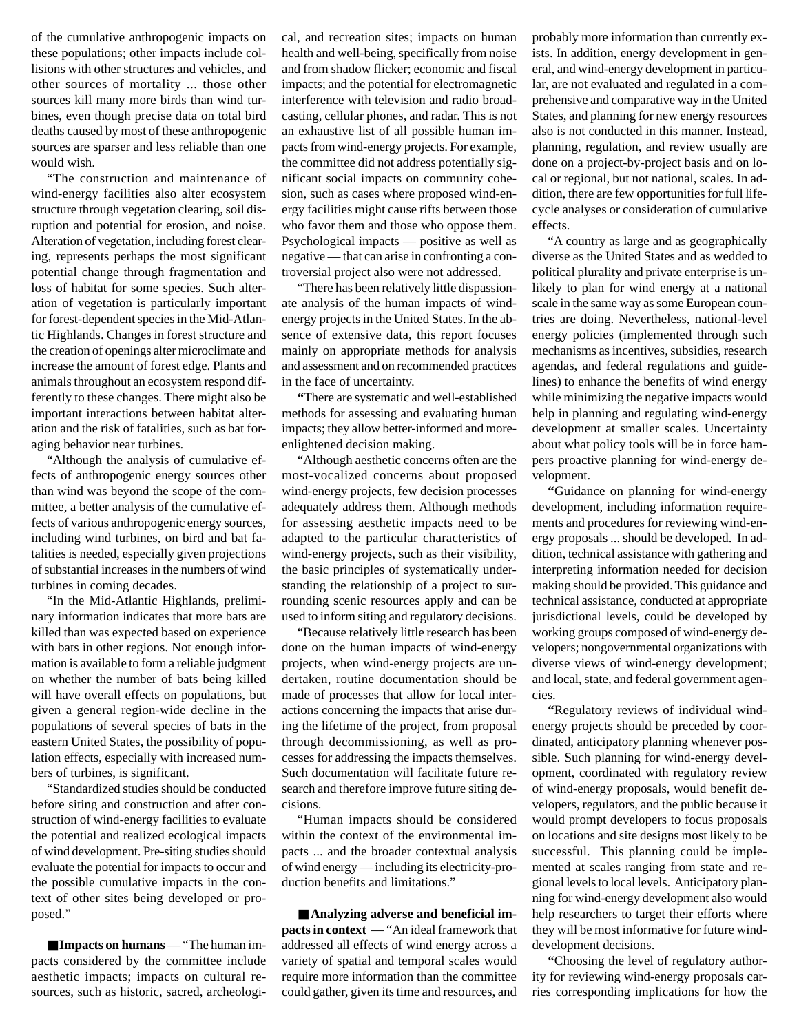of the cumulative anthropogenic impacts on these populations; other impacts include collisions with other structures and vehicles, and other sources of mortality ... those other sources kill many more birds than wind turbines, even though precise data on total bird deaths caused by most of these anthropogenic sources are sparser and less reliable than one would wish.

"The construction and maintenance of wind-energy facilities also alter ecosystem structure through vegetation clearing, soil disruption and potential for erosion, and noise. Alteration of vegetation, including forest clearing, represents perhaps the most significant potential change through fragmentation and loss of habitat for some species. Such alteration of vegetation is particularly important for forest-dependent species in the Mid-Atlantic Highlands. Changes in forest structure and the creation of openings alter microclimate and increase the amount of forest edge. Plants and animals throughout an ecosystem respond differently to these changes. There might also be important interactions between habitat alteration and the risk of fatalities, such as bat foraging behavior near turbines.

"Although the analysis of cumulative effects of anthropogenic energy sources other than wind was beyond the scope of the committee, a better analysis of the cumulative effects of various anthropogenic energy sources, including wind turbines, on bird and bat fatalities is needed, especially given projections of substantial increases in the numbers of wind turbines in coming decades.

"In the Mid-Atlantic Highlands, preliminary information indicates that more bats are killed than was expected based on experience with bats in other regions. Not enough information is available to form a reliable judgment on whether the number of bats being killed will have overall effects on populations, but given a general region-wide decline in the populations of several species of bats in the eastern United States, the possibility of population effects, especially with increased numbers of turbines, is significant.

"Standardized studies should be conducted before siting and construction and after construction of wind-energy facilities to evaluate the potential and realized ecological impacts of wind development. Pre-siting studies should evaluate the potential for impacts to occur and the possible cumulative impacts in the context of other sites being developed or proposed."

■ **Impacts on humans** — "The human impacts considered by the committee include aesthetic impacts; impacts on cultural resources, such as historic, sacred, archeological, and recreation sites; impacts on human health and well-being, specifically from noise and from shadow flicker; economic and fiscal impacts; and the potential for electromagnetic interference with television and radio broadcasting, cellular phones, and radar. This is not an exhaustive list of all possible human impacts from wind-energy projects. For example, the committee did not address potentially significant social impacts on community cohesion, such as cases where proposed wind-energy facilities might cause rifts between those who favor them and those who oppose them. Psychological impacts — positive as well as negative — that can arise in confronting a controversial project also were not addressed.

"There has been relatively little dispassionate analysis of the human impacts of windenergy projects in the United States. In the absence of extensive data, this report focuses mainly on appropriate methods for analysis and assessment and on recommended practices in the face of uncertainty.

**"**There are systematic and well-established methods for assessing and evaluating human impacts; they allow better-informed and moreenlightened decision making.

"Although aesthetic concerns often are the most-vocalized concerns about proposed wind-energy projects, few decision processes adequately address them. Although methods for assessing aesthetic impacts need to be adapted to the particular characteristics of wind-energy projects, such as their visibility, the basic principles of systematically understanding the relationship of a project to surrounding scenic resources apply and can be used to inform siting and regulatory decisions.

"Because relatively little research has been done on the human impacts of wind-energy projects, when wind-energy projects are undertaken, routine documentation should be made of processes that allow for local interactions concerning the impacts that arise during the lifetime of the project, from proposal through decommissioning, as well as processes for addressing the impacts themselves. Such documentation will facilitate future research and therefore improve future siting decisions.

"Human impacts should be considered within the context of the environmental impacts ... and the broader contextual analysis of wind energy — including its electricity-production benefits and limitations."

■ **Analyzing adverse and beneficial impacts in context** — "An ideal framework that addressed all effects of wind energy across a variety of spatial and temporal scales would require more information than the committee could gather, given its time and resources, and

probably more information than currently exists. In addition, energy development in general, and wind-energy development in particular, are not evaluated and regulated in a comprehensive and comparative way in the United States, and planning for new energy resources also is not conducted in this manner. Instead, planning, regulation, and review usually are done on a project-by-project basis and on local or regional, but not national, scales. In addition, there are few opportunities for full lifecycle analyses or consideration of cumulative effects.

"A country as large and as geographically diverse as the United States and as wedded to political plurality and private enterprise is unlikely to plan for wind energy at a national scale in the same way as some European countries are doing. Nevertheless, national-level energy policies (implemented through such mechanisms as incentives, subsidies, research agendas, and federal regulations and guidelines) to enhance the benefits of wind energy while minimizing the negative impacts would help in planning and regulating wind-energy development at smaller scales. Uncertainty about what policy tools will be in force hampers proactive planning for wind-energy development.

**"**Guidance on planning for wind-energy development, including information requirements and procedures for reviewing wind-energy proposals ... should be developed. In addition, technical assistance with gathering and interpreting information needed for decision making should be provided. This guidance and technical assistance, conducted at appropriate jurisdictional levels, could be developed by working groups composed of wind-energy developers; nongovernmental organizations with diverse views of wind-energy development; and local, state, and federal government agencies.

**"**Regulatory reviews of individual windenergy projects should be preceded by coordinated, anticipatory planning whenever possible. Such planning for wind-energy development, coordinated with regulatory review of wind-energy proposals, would benefit developers, regulators, and the public because it would prompt developers to focus proposals on locations and site designs most likely to be successful. This planning could be implemented at scales ranging from state and regional levels to local levels. Anticipatory planning for wind-energy development also would help researchers to target their efforts where they will be most informative for future winddevelopment decisions.

**"**Choosing the level of regulatory authority for reviewing wind-energy proposals carries corresponding implications for how the